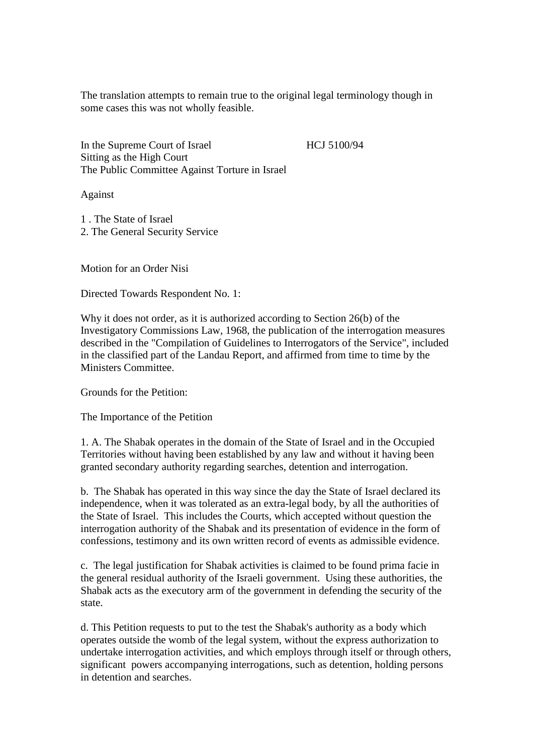The translation attempts to remain true to the original legal terminology though in some cases this was not wholly feasible.

In the Supreme Court of Israel HCJ 5100/94 Sitting as the High Court The Public Committee Against Torture in Israel

Against

1 . The State of Israel 2. The General Security Service

Motion for an Order Nisi

Directed Towards Respondent No. 1:

Why it does not order, as it is authorized according to Section 26(b) of the Investigatory Commissions Law, 1968, the publication of the interrogation measures described in the "Compilation of Guidelines to Interrogators of the Service", included in the classified part of the Landau Report, and affirmed from time to time by the Ministers Committee.

Grounds for the Petition:

The Importance of the Petition

1. A. The Shabak operates in the domain of the State of Israel and in the Occupied Territories without having been established by any law and without it having been granted secondary authority regarding searches, detention and interrogation.

b. The Shabak has operated in this way since the day the State of Israel declared its independence, when it was tolerated as an extra-legal body, by all the authorities of the State of Israel. This includes the Courts, which accepted without question the interrogation authority of the Shabak and its presentation of evidence in the form of confessions, testimony and its own written record of events as admissible evidence.

c. The legal justification for Shabak activities is claimed to be found prima facie in the general residual authority of the Israeli government. Using these authorities, the Shabak acts as the executory arm of the government in defending the security of the state.

d. This Petition requests to put to the test the Shabak's authority as a body which operates outside the womb of the legal system, without the express authorization to undertake interrogation activities, and which employs through itself or through others, significant powers accompanying interrogations, such as detention, holding persons in detention and searches.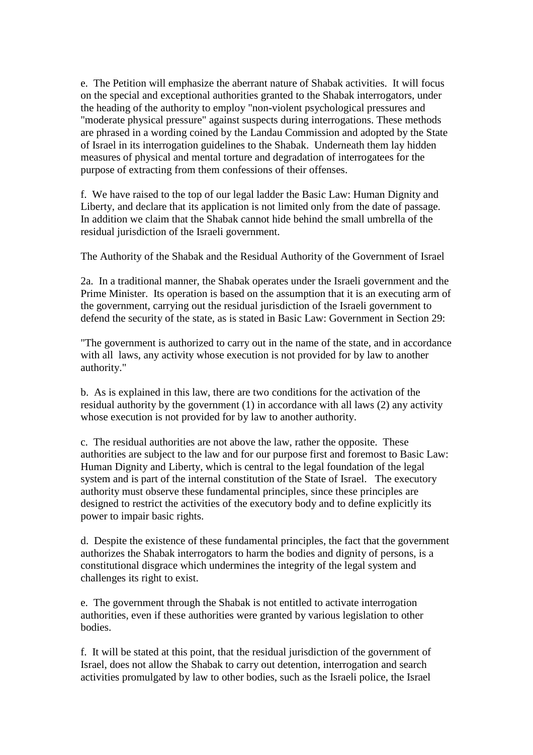e. The Petition will emphasize the aberrant nature of Shabak activities. It will focus on the special and exceptional authorities granted to the Shabak interrogators, under the heading of the authority to employ "non-violent psychological pressures and "moderate physical pressure" against suspects during interrogations. These methods are phrased in a wording coined by the Landau Commission and adopted by the State of Israel in its interrogation guidelines to the Shabak. Underneath them lay hidden measures of physical and mental torture and degradation of interrogatees for the purpose of extracting from them confessions of their offenses.

f. We have raised to the top of our legal ladder the Basic Law: Human Dignity and Liberty, and declare that its application is not limited only from the date of passage. In addition we claim that the Shabak cannot hide behind the small umbrella of the residual jurisdiction of the Israeli government.

The Authority of the Shabak and the Residual Authority of the Government of Israel

2a. In a traditional manner, the Shabak operates under the Israeli government and the Prime Minister. Its operation is based on the assumption that it is an executing arm of the government, carrying out the residual jurisdiction of the Israeli government to defend the security of the state, as is stated in Basic Law: Government in Section 29:

"The government is authorized to carry out in the name of the state, and in accordance with all laws, any activity whose execution is not provided for by law to another authority."

b. As is explained in this law, there are two conditions for the activation of the residual authority by the government (1) in accordance with all laws (2) any activity whose execution is not provided for by law to another authority.

c. The residual authorities are not above the law, rather the opposite. These authorities are subject to the law and for our purpose first and foremost to Basic Law: Human Dignity and Liberty, which is central to the legal foundation of the legal system and is part of the internal constitution of the State of Israel. The executory authority must observe these fundamental principles, since these principles are designed to restrict the activities of the executory body and to define explicitly its power to impair basic rights.

d. Despite the existence of these fundamental principles, the fact that the government authorizes the Shabak interrogators to harm the bodies and dignity of persons, is a constitutional disgrace which undermines the integrity of the legal system and challenges its right to exist.

e. The government through the Shabak is not entitled to activate interrogation authorities, even if these authorities were granted by various legislation to other bodies.

f. It will be stated at this point, that the residual jurisdiction of the government of Israel, does not allow the Shabak to carry out detention, interrogation and search activities promulgated by law to other bodies, such as the Israeli police, the Israel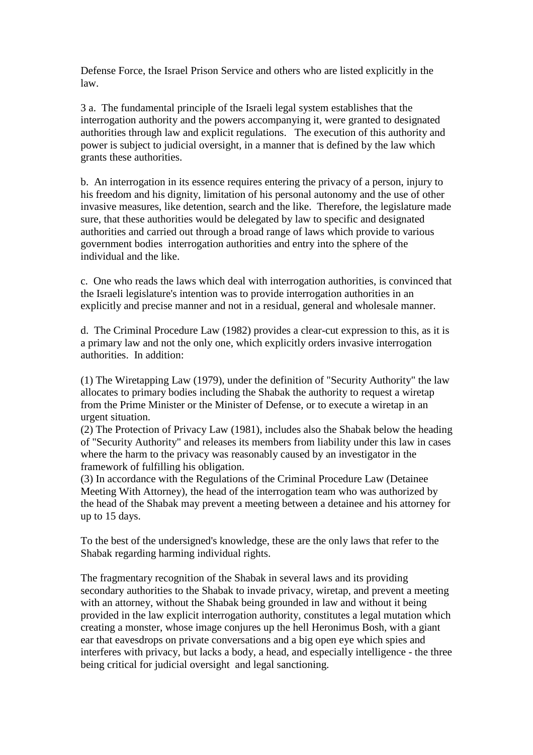Defense Force, the Israel Prison Service and others who are listed explicitly in the law.

3 a. The fundamental principle of the Israeli legal system establishes that the interrogation authority and the powers accompanying it, were granted to designated authorities through law and explicit regulations. The execution of this authority and power is subject to judicial oversight, in a manner that is defined by the law which grants these authorities.

b. An interrogation in its essence requires entering the privacy of a person, injury to his freedom and his dignity, limitation of his personal autonomy and the use of other invasive measures, like detention, search and the like. Therefore, the legislature made sure, that these authorities would be delegated by law to specific and designated authorities and carried out through a broad range of laws which provide to various government bodies interrogation authorities and entry into the sphere of the individual and the like.

c. One who reads the laws which deal with interrogation authorities, is convinced that the Israeli legislature's intention was to provide interrogation authorities in an explicitly and precise manner and not in a residual, general and wholesale manner.

d. The Criminal Procedure Law (1982) provides a clear-cut expression to this, as it is a primary law and not the only one, which explicitly orders invasive interrogation authorities. In addition:

(1) The Wiretapping Law (1979), under the definition of "Security Authority" the law allocates to primary bodies including the Shabak the authority to request a wiretap from the Prime Minister or the Minister of Defense, or to execute a wiretap in an urgent situation.

(2) The Protection of Privacy Law (1981), includes also the Shabak below the heading of "Security Authority" and releases its members from liability under this law in cases where the harm to the privacy was reasonably caused by an investigator in the framework of fulfilling his obligation.

(3) In accordance with the Regulations of the Criminal Procedure Law (Detainee Meeting With Attorney), the head of the interrogation team who was authorized by the head of the Shabak may prevent a meeting between a detainee and his attorney for up to 15 days.

To the best of the undersigned's knowledge, these are the only laws that refer to the Shabak regarding harming individual rights.

The fragmentary recognition of the Shabak in several laws and its providing secondary authorities to the Shabak to invade privacy, wiretap, and prevent a meeting with an attorney, without the Shabak being grounded in law and without it being provided in the law explicit interrogation authority, constitutes a legal mutation which creating a monster, whose image conjures up the hell Heronimus Bosh, with a giant ear that eavesdrops on private conversations and a big open eye which spies and interferes with privacy, but lacks a body, a head, and especially intelligence - the three being critical for judicial oversight and legal sanctioning.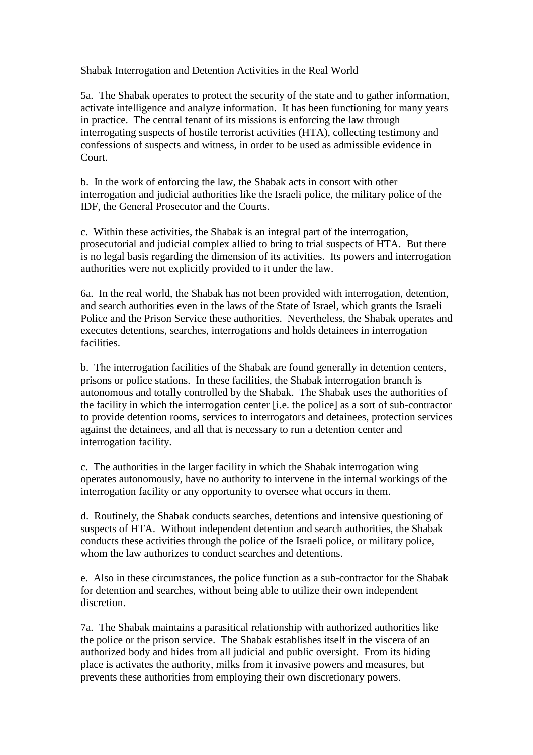Shabak Interrogation and Detention Activities in the Real World

5a. The Shabak operates to protect the security of the state and to gather information, activate intelligence and analyze information. It has been functioning for many years in practice. The central tenant of its missions is enforcing the law through interrogating suspects of hostile terrorist activities (HTA), collecting testimony and confessions of suspects and witness, in order to be used as admissible evidence in Court.

b. In the work of enforcing the law, the Shabak acts in consort with other interrogation and judicial authorities like the Israeli police, the military police of the IDF, the General Prosecutor and the Courts.

c. Within these activities, the Shabak is an integral part of the interrogation, prosecutorial and judicial complex allied to bring to trial suspects of HTA. But there is no legal basis regarding the dimension of its activities. Its powers and interrogation authorities were not explicitly provided to it under the law.

6a. In the real world, the Shabak has not been provided with interrogation, detention, and search authorities even in the laws of the State of Israel, which grants the Israeli Police and the Prison Service these authorities. Nevertheless, the Shabak operates and executes detentions, searches, interrogations and holds detainees in interrogation facilities.

b. The interrogation facilities of the Shabak are found generally in detention centers, prisons or police stations. In these facilities, the Shabak interrogation branch is autonomous and totally controlled by the Shabak. The Shabak uses the authorities of the facility in which the interrogation center [i.e. the police] as a sort of sub-contractor to provide detention rooms, services to interrogators and detainees, protection services against the detainees, and all that is necessary to run a detention center and interrogation facility.

c. The authorities in the larger facility in which the Shabak interrogation wing operates autonomously, have no authority to intervene in the internal workings of the interrogation facility or any opportunity to oversee what occurs in them.

d. Routinely, the Shabak conducts searches, detentions and intensive questioning of suspects of HTA. Without independent detention and search authorities, the Shabak conducts these activities through the police of the Israeli police, or military police, whom the law authorizes to conduct searches and detentions.

e. Also in these circumstances, the police function as a sub-contractor for the Shabak for detention and searches, without being able to utilize their own independent discretion.

7a. The Shabak maintains a parasitical relationship with authorized authorities like the police or the prison service. The Shabak establishes itself in the viscera of an authorized body and hides from all judicial and public oversight. From its hiding place is activates the authority, milks from it invasive powers and measures, but prevents these authorities from employing their own discretionary powers.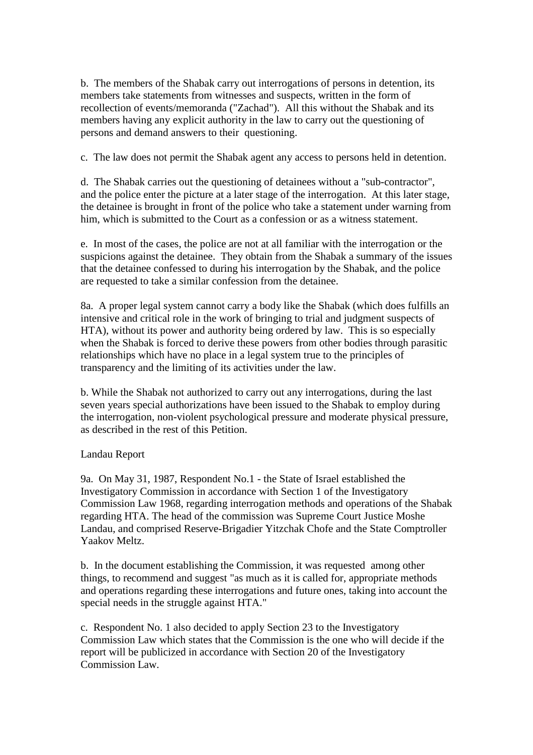b. The members of the Shabak carry out interrogations of persons in detention, its members take statements from witnesses and suspects, written in the form of recollection of events/memoranda ("Zachad"). All this without the Shabak and its members having any explicit authority in the law to carry out the questioning of persons and demand answers to their questioning.

c. The law does not permit the Shabak agent any access to persons held in detention.

d. The Shabak carries out the questioning of detainees without a "sub-contractor", and the police enter the picture at a later stage of the interrogation. At this later stage, the detainee is brought in front of the police who take a statement under warning from him, which is submitted to the Court as a confession or as a witness statement.

e. In most of the cases, the police are not at all familiar with the interrogation or the suspicions against the detainee. They obtain from the Shabak a summary of the issues that the detainee confessed to during his interrogation by the Shabak, and the police are requested to take a similar confession from the detainee.

8a. A proper legal system cannot carry a body like the Shabak (which does fulfills an intensive and critical role in the work of bringing to trial and judgment suspects of HTA), without its power and authority being ordered by law. This is so especially when the Shabak is forced to derive these powers from other bodies through parasitic relationships which have no place in a legal system true to the principles of transparency and the limiting of its activities under the law.

b. While the Shabak not authorized to carry out any interrogations, during the last seven years special authorizations have been issued to the Shabak to employ during the interrogation, non-violent psychological pressure and moderate physical pressure, as described in the rest of this Petition.

## Landau Report

9a. On May 31, 1987, Respondent No.1 - the State of Israel established the Investigatory Commission in accordance with Section 1 of the Investigatory Commission Law 1968, regarding interrogation methods and operations of the Shabak regarding HTA. The head of the commission was Supreme Court Justice Moshe Landau, and comprised Reserve-Brigadier Yitzchak Chofe and the State Comptroller Yaakov Meltz.

b. In the document establishing the Commission, it was requested among other things, to recommend and suggest "as much as it is called for, appropriate methods and operations regarding these interrogations and future ones, taking into account the special needs in the struggle against HTA."

c. Respondent No. 1 also decided to apply Section 23 to the Investigatory Commission Law which states that the Commission is the one who will decide if the report will be publicized in accordance with Section 20 of the Investigatory Commission Law.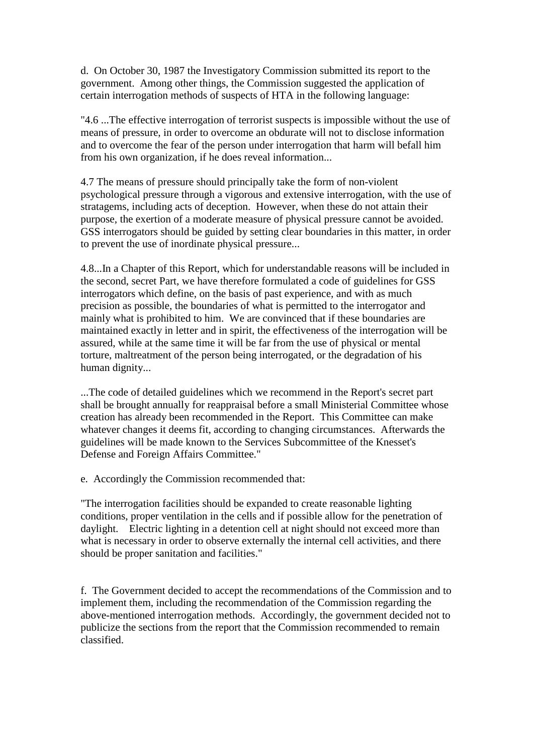d. On October 30, 1987 the Investigatory Commission submitted its report to the government. Among other things, the Commission suggested the application of certain interrogation methods of suspects of HTA in the following language:

"4.6 ...The effective interrogation of terrorist suspects is impossible without the use of means of pressure, in order to overcome an obdurate will not to disclose information and to overcome the fear of the person under interrogation that harm will befall him from his own organization, if he does reveal information...

4.7 The means of pressure should principally take the form of non-violent psychological pressure through a vigorous and extensive interrogation, with the use of stratagems, including acts of deception. However, when these do not attain their purpose, the exertion of a moderate measure of physical pressure cannot be avoided. GSS interrogators should be guided by setting clear boundaries in this matter, in order to prevent the use of inordinate physical pressure...

4.8...In a Chapter of this Report, which for understandable reasons will be included in the second, secret Part, we have therefore formulated a code of guidelines for GSS interrogators which define, on the basis of past experience, and with as much precision as possible, the boundaries of what is permitted to the interrogator and mainly what is prohibited to him. We are convinced that if these boundaries are maintained exactly in letter and in spirit, the effectiveness of the interrogation will be assured, while at the same time it will be far from the use of physical or mental torture, maltreatment of the person being interrogated, or the degradation of his human dignity...

...The code of detailed guidelines which we recommend in the Report's secret part shall be brought annually for reappraisal before a small Ministerial Committee whose creation has already been recommended in the Report. This Committee can make whatever changes it deems fit, according to changing circumstances. Afterwards the guidelines will be made known to the Services Subcommittee of the Knesset's Defense and Foreign Affairs Committee."

e. Accordingly the Commission recommended that:

"The interrogation facilities should be expanded to create reasonable lighting conditions, proper ventilation in the cells and if possible allow for the penetration of daylight. Electric lighting in a detention cell at night should not exceed more than what is necessary in order to observe externally the internal cell activities, and there should be proper sanitation and facilities."

f. The Government decided to accept the recommendations of the Commission and to implement them, including the recommendation of the Commission regarding the above-mentioned interrogation methods. Accordingly, the government decided not to publicize the sections from the report that the Commission recommended to remain classified.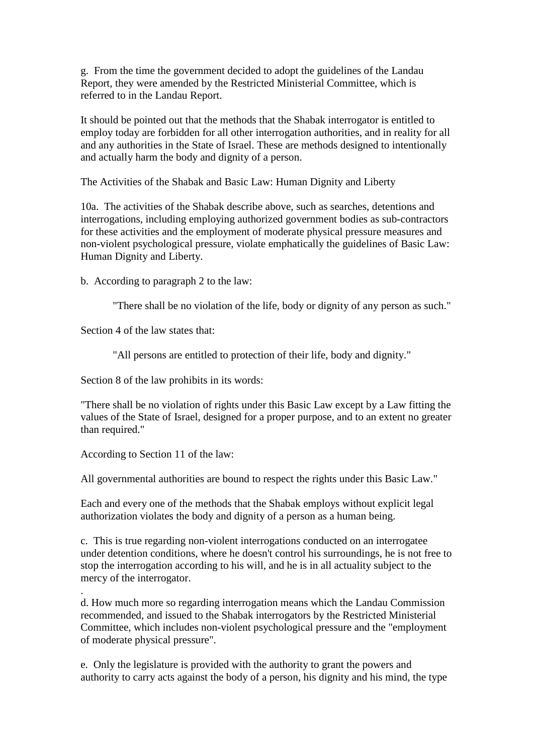g. From the time the government decided to adopt the guidelines of the Landau Report, they were amended by the Restricted Ministerial Committee, which is referred to in the Landau Report.

It should be pointed out that the methods that the Shabak interrogator is entitled to employ today are forbidden for all other interrogation authorities, and in reality for all and any authorities in the State of Israel. These are methods designed to intentionally and actually harm the body and dignity of a person.

The Activities of the Shabak and Basic Law: Human Dignity and Liberty

10a. The activities of the Shabak describe above, such as searches, detentions and interrogations, including employing authorized government bodies as sub-contractors for these activities and the employment of moderate physical pressure measures and non-violent psychological pressure, violate emphatically the guidelines of Basic Law: Human Dignity and Liberty.

b. According to paragraph 2 to the law:

"There shall be no violation of the life, body or dignity of any person as such."

Section 4 of the law states that:

"All persons are entitled to protection of their life, body and dignity."

Section 8 of the law prohibits in its words:

"There shall be no violation of rights under this Basic Law except by a Law fitting the values of the State of Israel, designed for a proper purpose, and to an extent no greater than required."

According to Section 11 of the law:

.

All governmental authorities are bound to respect the rights under this Basic Law."

Each and every one of the methods that the Shabak employs without explicit legal authorization violates the body and dignity of a person as a human being.

c. This is true regarding non-violent interrogations conducted on an interrogatee under detention conditions, where he doesn't control his surroundings, he is not free to stop the interrogation according to his will, and he is in all actuality subject to the mercy of the interrogator.

d. How much more so regarding interrogation means which the Landau Commission recommended, and issued to the Shabak interrogators by the Restricted Ministerial Committee, which includes non-violent psychological pressure and the "employment of moderate physical pressure".

e. Only the legislature is provided with the authority to grant the powers and authority to carry acts against the body of a person, his dignity and his mind, the type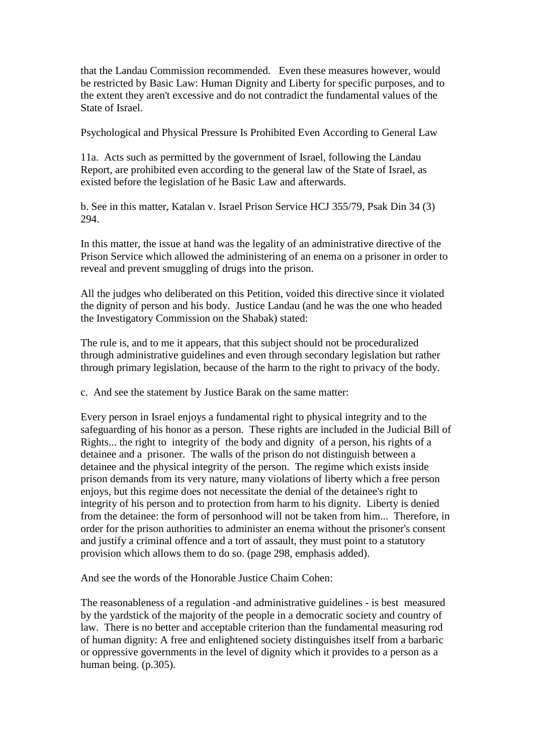that the Landau Commission recommended. Even these measures however, would be restricted by Basic Law: Human Dignity and Liberty for specific purposes, and to the extent they aren't excessive and do not contradict the fundamental values of the State of Israel.

Psychological and Physical Pressure Is Prohibited Even According to General Law

11a. Acts such as permitted by the government of Israel, following the Landau Report, are prohibited even according to the general law of the State of Israel, as existed before the legislation of he Basic Law and afterwards.

b. See in this matter, Katalan v. Israel Prison Service HCJ 355/79, Psak Din 34 (3) 294.

In this matter, the issue at hand was the legality of an administrative directive of the Prison Service which allowed the administering of an enema on a prisoner in order to reveal and prevent smuggling of drugs into the prison.

All the judges who deliberated on this Petition, voided this directive since it violated the dignity of person and his body. Justice Landau (and he was the one who headed the Investigatory Commission on the Shabak) stated:

The rule is, and to me it appears, that this subject should not be proceduralized through administrative guidelines and even through secondary legislation but rather through primary legislation, because of the harm to the right to privacy of the body.

c. And see the statement by Justice Barak on the same matter:

Every person in Israel enjoys a fundamental right to physical integrity and to the safeguarding of his honor as a person. These rights are included in the Judicial Bill of Rights... the right to integrity of the body and dignity of a person, his rights of a detainee and a prisoner. The walls of the prison do not distinguish between a detainee and the physical integrity of the person. The regime which exists inside prison demands from its very nature, many violations of liberty which a free person enjoys, but this regime does not necessitate the denial of the detainee's right to integrity of his person and to protection from harm to his dignity. Liberty is denied from the detainee: the form of personhood will not be taken from him... Therefore, in order for the prison authorities to administer an enema without the prisoner's consent and justify a criminal offence and a tort of assault, they must point to a statutory provision which allows them to do so. (page 298, emphasis added).

And see the words of the Honorable Justice Chaim Cohen:

The reasonableness of a regulation -and administrative guidelines - is best measured by the yardstick of the majority of the people in a democratic society and country of law. There is no better and acceptable criterion than the fundamental measuring rod of human dignity: A free and enlightened society distinguishes itself from a barbaric or oppressive governments in the level of dignity which it provides to a person as a human being. (p.305).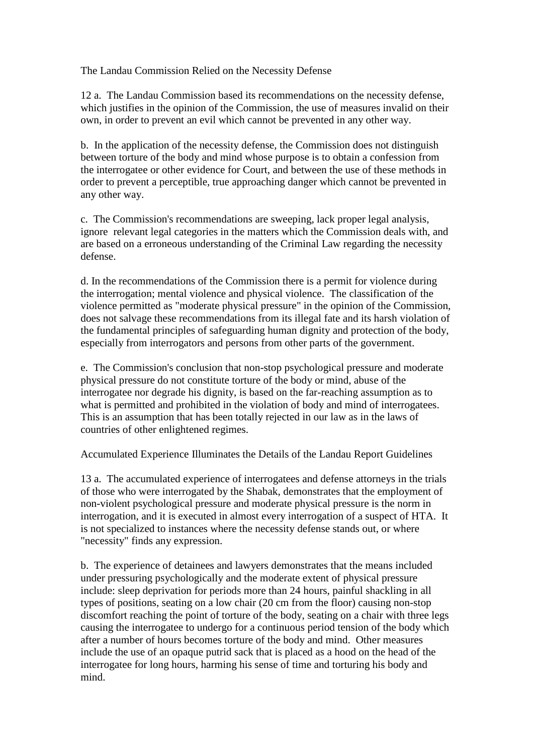The Landau Commission Relied on the Necessity Defense

12 a. The Landau Commission based its recommendations on the necessity defense, which justifies in the opinion of the Commission, the use of measures invalid on their own, in order to prevent an evil which cannot be prevented in any other way.

b. In the application of the necessity defense, the Commission does not distinguish between torture of the body and mind whose purpose is to obtain a confession from the interrogatee or other evidence for Court, and between the use of these methods in order to prevent a perceptible, true approaching danger which cannot be prevented in any other way.

c. The Commission's recommendations are sweeping, lack proper legal analysis, ignore relevant legal categories in the matters which the Commission deals with, and are based on a erroneous understanding of the Criminal Law regarding the necessity defense.

d. In the recommendations of the Commission there is a permit for violence during the interrogation; mental violence and physical violence. The classification of the violence permitted as "moderate physical pressure" in the opinion of the Commission, does not salvage these recommendations from its illegal fate and its harsh violation of the fundamental principles of safeguarding human dignity and protection of the body, especially from interrogators and persons from other parts of the government.

e. The Commission's conclusion that non-stop psychological pressure and moderate physical pressure do not constitute torture of the body or mind, abuse of the interrogatee nor degrade his dignity, is based on the far-reaching assumption as to what is permitted and prohibited in the violation of body and mind of interrogatees. This is an assumption that has been totally rejected in our law as in the laws of countries of other enlightened regimes.

Accumulated Experience Illuminates the Details of the Landau Report Guidelines

13 a. The accumulated experience of interrogatees and defense attorneys in the trials of those who were interrogated by the Shabak, demonstrates that the employment of non-violent psychological pressure and moderate physical pressure is the norm in interrogation, and it is executed in almost every interrogation of a suspect of HTA. It is not specialized to instances where the necessity defense stands out, or where "necessity" finds any expression.

b. The experience of detainees and lawyers demonstrates that the means included under pressuring psychologically and the moderate extent of physical pressure include: sleep deprivation for periods more than 24 hours, painful shackling in all types of positions, seating on a low chair (20 cm from the floor) causing non-stop discomfort reaching the point of torture of the body, seating on a chair with three legs causing the interrogatee to undergo for a continuous period tension of the body which after a number of hours becomes torture of the body and mind. Other measures include the use of an opaque putrid sack that is placed as a hood on the head of the interrogatee for long hours, harming his sense of time and torturing his body and mind.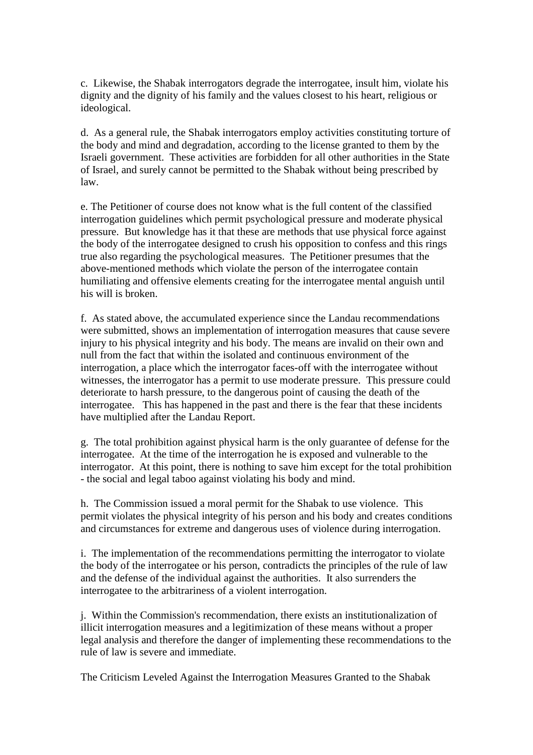c. Likewise, the Shabak interrogators degrade the interrogatee, insult him, violate his dignity and the dignity of his family and the values closest to his heart, religious or ideological.

d. As a general rule, the Shabak interrogators employ activities constituting torture of the body and mind and degradation, according to the license granted to them by the Israeli government. These activities are forbidden for all other authorities in the State of Israel, and surely cannot be permitted to the Shabak without being prescribed by law.

e. The Petitioner of course does not know what is the full content of the classified interrogation guidelines which permit psychological pressure and moderate physical pressure. But knowledge has it that these are methods that use physical force against the body of the interrogatee designed to crush his opposition to confess and this rings true also regarding the psychological measures. The Petitioner presumes that the above-mentioned methods which violate the person of the interrogatee contain humiliating and offensive elements creating for the interrogatee mental anguish until his will is broken.

f. As stated above, the accumulated experience since the Landau recommendations were submitted, shows an implementation of interrogation measures that cause severe injury to his physical integrity and his body. The means are invalid on their own and null from the fact that within the isolated and continuous environment of the interrogation, a place which the interrogator faces-off with the interrogatee without witnesses, the interrogator has a permit to use moderate pressure. This pressure could deteriorate to harsh pressure, to the dangerous point of causing the death of the interrogatee. This has happened in the past and there is the fear that these incidents have multiplied after the Landau Report.

g. The total prohibition against physical harm is the only guarantee of defense for the interrogatee. At the time of the interrogation he is exposed and vulnerable to the interrogator. At this point, there is nothing to save him except for the total prohibition - the social and legal taboo against violating his body and mind.

h. The Commission issued a moral permit for the Shabak to use violence. This permit violates the physical integrity of his person and his body and creates conditions and circumstances for extreme and dangerous uses of violence during interrogation.

i. The implementation of the recommendations permitting the interrogator to violate the body of the interrogatee or his person, contradicts the principles of the rule of law and the defense of the individual against the authorities. It also surrenders the interrogatee to the arbitrariness of a violent interrogation.

j. Within the Commission's recommendation, there exists an institutionalization of illicit interrogation measures and a legitimization of these means without a proper legal analysis and therefore the danger of implementing these recommendations to the rule of law is severe and immediate.

The Criticism Leveled Against the Interrogation Measures Granted to the Shabak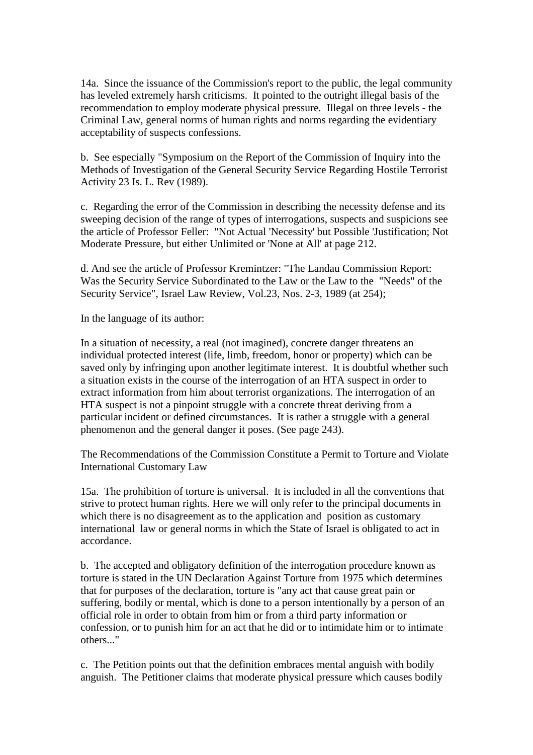14a. Since the issuance of the Commission's report to the public, the legal community has leveled extremely harsh criticisms. It pointed to the outright illegal basis of the recommendation to employ moderate physical pressure. Illegal on three levels - the Criminal Law, general norms of human rights and norms regarding the evidentiary acceptability of suspects confessions.

b. See especially "Symposium on the Report of the Commission of Inquiry into the Methods of Investigation of the General Security Service Regarding Hostile Terrorist Activity 23 Is. L. Rev (1989).

c. Regarding the error of the Commission in describing the necessity defense and its sweeping decision of the range of types of interrogations, suspects and suspicions see the article of Professor Feller: "Not Actual 'Necessity' but Possible 'Justification; Not Moderate Pressure, but either Unlimited or 'None at All' at page 212.

d. And see the article of Professor Kremintzer: "The Landau Commission Report: Was the Security Service Subordinated to the Law or the Law to the "Needs" of the Security Service", Israel Law Review, Vol.23, Nos. 2-3, 1989 (at 254);

In the language of its author:

In a situation of necessity, a real (not imagined), concrete danger threatens an individual protected interest (life, limb, freedom, honor or property) which can be saved only by infringing upon another legitimate interest. It is doubtful whether such a situation exists in the course of the interrogation of an HTA suspect in order to extract information from him about terrorist organizations. The interrogation of an HTA suspect is not a pinpoint struggle with a concrete threat deriving from a particular incident or defined circumstances. It is rather a struggle with a general phenomenon and the general danger it poses. (See page 243).

The Recommendations of the Commission Constitute a Permit to Torture and Violate International Customary Law

15a. The prohibition of torture is universal. It is included in all the conventions that strive to protect human rights. Here we will only refer to the principal documents in which there is no disagreement as to the application and position as customary international law or general norms in which the State of Israel is obligated to act in accordance.

b. The accepted and obligatory definition of the interrogation procedure known as torture is stated in the UN Declaration Against Torture from 1975 which determines that for purposes of the declaration, torture is "any act that cause great pain or suffering, bodily or mental, which is done to a person intentionally by a person of an official role in order to obtain from him or from a third party information or confession, or to punish him for an act that he did or to intimidate him or to intimate others..."

c. The Petition points out that the definition embraces mental anguish with bodily anguish. The Petitioner claims that moderate physical pressure which causes bodily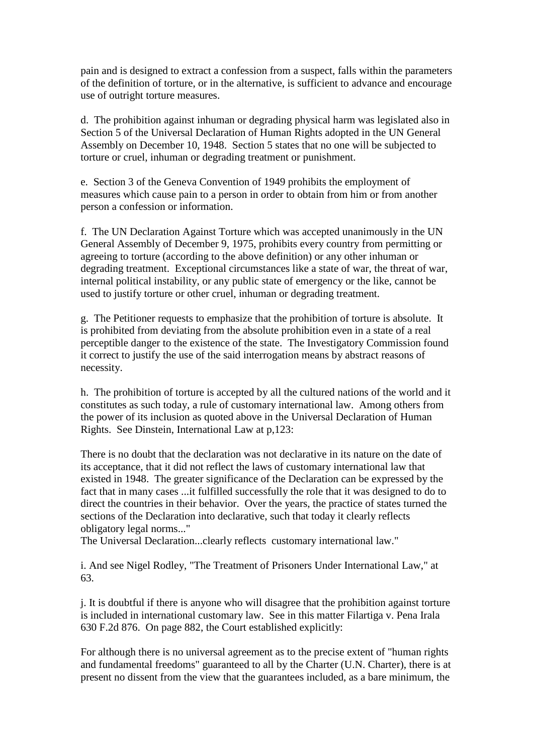pain and is designed to extract a confession from a suspect, falls within the parameters of the definition of torture, or in the alternative, is sufficient to advance and encourage use of outright torture measures.

d. The prohibition against inhuman or degrading physical harm was legislated also in Section 5 of the Universal Declaration of Human Rights adopted in the UN General Assembly on December 10, 1948. Section 5 states that no one will be subjected to torture or cruel, inhuman or degrading treatment or punishment.

e. Section 3 of the Geneva Convention of 1949 prohibits the employment of measures which cause pain to a person in order to obtain from him or from another person a confession or information.

f. The UN Declaration Against Torture which was accepted unanimously in the UN General Assembly of December 9, 1975, prohibits every country from permitting or agreeing to torture (according to the above definition) or any other inhuman or degrading treatment. Exceptional circumstances like a state of war, the threat of war, internal political instability, or any public state of emergency or the like, cannot be used to justify torture or other cruel, inhuman or degrading treatment.

g. The Petitioner requests to emphasize that the prohibition of torture is absolute. It is prohibited from deviating from the absolute prohibition even in a state of a real perceptible danger to the existence of the state. The Investigatory Commission found it correct to justify the use of the said interrogation means by abstract reasons of necessity.

h. The prohibition of torture is accepted by all the cultured nations of the world and it constitutes as such today, a rule of customary international law. Among others from the power of its inclusion as quoted above in the Universal Declaration of Human Rights. See Dinstein, International Law at p,123:

There is no doubt that the declaration was not declarative in its nature on the date of its acceptance, that it did not reflect the laws of customary international law that existed in 1948. The greater significance of the Declaration can be expressed by the fact that in many cases ...it fulfilled successfully the role that it was designed to do to direct the countries in their behavior. Over the years, the practice of states turned the sections of the Declaration into declarative, such that today it clearly reflects obligatory legal norms..."

The Universal Declaration...clearly reflects customary international law."

i. And see Nigel Rodley, "The Treatment of Prisoners Under International Law," at 63.

j. It is doubtful if there is anyone who will disagree that the prohibition against torture is included in international customary law. See in this matter Filartiga v. Pena Irala 630 F.2d 876. On page 882, the Court established explicitly:

For although there is no universal agreement as to the precise extent of "human rights and fundamental freedoms" guaranteed to all by the Charter (U.N. Charter), there is at present no dissent from the view that the guarantees included, as a bare minimum, the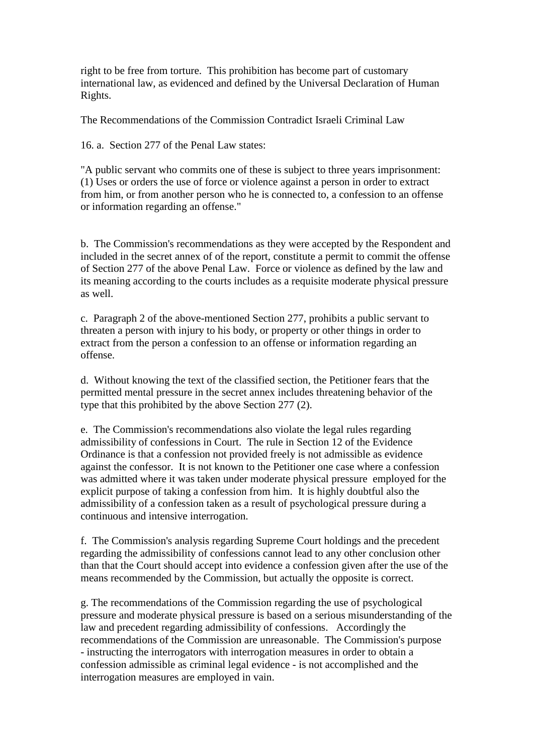right to be free from torture. This prohibition has become part of customary international law, as evidenced and defined by the Universal Declaration of Human Rights.

The Recommendations of the Commission Contradict Israeli Criminal Law

16. a. Section 277 of the Penal Law states:

"A public servant who commits one of these is subject to three years imprisonment: (1) Uses or orders the use of force or violence against a person in order to extract from him, or from another person who he is connected to, a confession to an offense or information regarding an offense."

b. The Commission's recommendations as they were accepted by the Respondent and included in the secret annex of of the report, constitute a permit to commit the offense of Section 277 of the above Penal Law. Force or violence as defined by the law and its meaning according to the courts includes as a requisite moderate physical pressure as well.

c. Paragraph 2 of the above-mentioned Section 277, prohibits a public servant to threaten a person with injury to his body, or property or other things in order to extract from the person a confession to an offense or information regarding an offense.

d. Without knowing the text of the classified section, the Petitioner fears that the permitted mental pressure in the secret annex includes threatening behavior of the type that this prohibited by the above Section 277 (2).

e. The Commission's recommendations also violate the legal rules regarding admissibility of confessions in Court. The rule in Section 12 of the Evidence Ordinance is that a confession not provided freely is not admissible as evidence against the confessor. It is not known to the Petitioner one case where a confession was admitted where it was taken under moderate physical pressure employed for the explicit purpose of taking a confession from him. It is highly doubtful also the admissibility of a confession taken as a result of psychological pressure during a continuous and intensive interrogation.

f. The Commission's analysis regarding Supreme Court holdings and the precedent regarding the admissibility of confessions cannot lead to any other conclusion other than that the Court should accept into evidence a confession given after the use of the means recommended by the Commission, but actually the opposite is correct.

g. The recommendations of the Commission regarding the use of psychological pressure and moderate physical pressure is based on a serious misunderstanding of the law and precedent regarding admissibility of confessions. Accordingly the recommendations of the Commission are unreasonable. The Commission's purpose - instructing the interrogators with interrogation measures in order to obtain a confession admissible as criminal legal evidence - is not accomplished and the interrogation measures are employed in vain.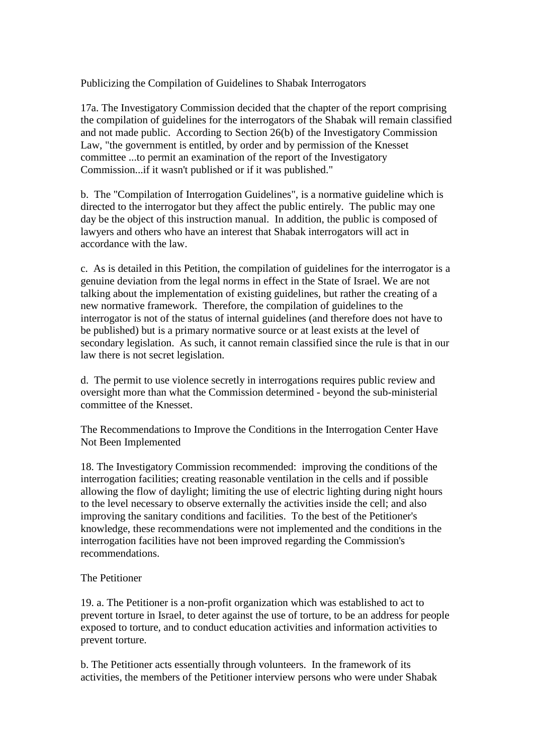Publicizing the Compilation of Guidelines to Shabak Interrogators

17a. The Investigatory Commission decided that the chapter of the report comprising the compilation of guidelines for the interrogators of the Shabak will remain classified and not made public. According to Section 26(b) of the Investigatory Commission Law, "the government is entitled, by order and by permission of the Knesset committee ...to permit an examination of the report of the Investigatory Commission...if it wasn't published or if it was published."

b. The "Compilation of Interrogation Guidelines", is a normative guideline which is directed to the interrogator but they affect the public entirely. The public may one day be the object of this instruction manual. In addition, the public is composed of lawyers and others who have an interest that Shabak interrogators will act in accordance with the law.

c. As is detailed in this Petition, the compilation of guidelines for the interrogator is a genuine deviation from the legal norms in effect in the State of Israel. We are not talking about the implementation of existing guidelines, but rather the creating of a new normative framework. Therefore, the compilation of guidelines to the interrogator is not of the status of internal guidelines (and therefore does not have to be published) but is a primary normative source or at least exists at the level of secondary legislation. As such, it cannot remain classified since the rule is that in our law there is not secret legislation.

d. The permit to use violence secretly in interrogations requires public review and oversight more than what the Commission determined - beyond the sub-ministerial committee of the Knesset.

The Recommendations to Improve the Conditions in the Interrogation Center Have Not Been Implemented

18. The Investigatory Commission recommended: improving the conditions of the interrogation facilities; creating reasonable ventilation in the cells and if possible allowing the flow of daylight; limiting the use of electric lighting during night hours to the level necessary to observe externally the activities inside the cell; and also improving the sanitary conditions and facilities. To the best of the Petitioner's knowledge, these recommendations were not implemented and the conditions in the interrogation facilities have not been improved regarding the Commission's recommendations.

## The Petitioner

19. a. The Petitioner is a non-profit organization which was established to act to prevent torture in Israel, to deter against the use of torture, to be an address for people exposed to torture, and to conduct education activities and information activities to prevent torture.

b. The Petitioner acts essentially through volunteers. In the framework of its activities, the members of the Petitioner interview persons who were under Shabak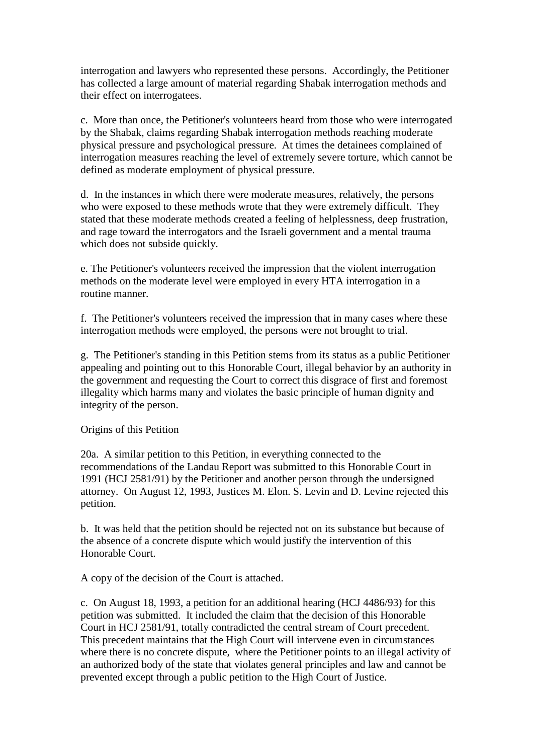interrogation and lawyers who represented these persons. Accordingly, the Petitioner has collected a large amount of material regarding Shabak interrogation methods and their effect on interrogatees.

c. More than once, the Petitioner's volunteers heard from those who were interrogated by the Shabak, claims regarding Shabak interrogation methods reaching moderate physical pressure and psychological pressure. At times the detainees complained of interrogation measures reaching the level of extremely severe torture, which cannot be defined as moderate employment of physical pressure.

d. In the instances in which there were moderate measures, relatively, the persons who were exposed to these methods wrote that they were extremely difficult. They stated that these moderate methods created a feeling of helplessness, deep frustration, and rage toward the interrogators and the Israeli government and a mental trauma which does not subside quickly.

e. The Petitioner's volunteers received the impression that the violent interrogation methods on the moderate level were employed in every HTA interrogation in a routine manner.

f. The Petitioner's volunteers received the impression that in many cases where these interrogation methods were employed, the persons were not brought to trial.

g. The Petitioner's standing in this Petition stems from its status as a public Petitioner appealing and pointing out to this Honorable Court, illegal behavior by an authority in the government and requesting the Court to correct this disgrace of first and foremost illegality which harms many and violates the basic principle of human dignity and integrity of the person.

Origins of this Petition

20a. A similar petition to this Petition, in everything connected to the recommendations of the Landau Report was submitted to this Honorable Court in 1991 (HCJ 2581/91) by the Petitioner and another person through the undersigned attorney. On August 12, 1993, Justices M. Elon. S. Levin and D. Levine rejected this petition.

b. It was held that the petition should be rejected not on its substance but because of the absence of a concrete dispute which would justify the intervention of this Honorable Court.

A copy of the decision of the Court is attached.

c. On August 18, 1993, a petition for an additional hearing (HCJ 4486/93) for this petition was submitted. It included the claim that the decision of this Honorable Court in HCJ 2581/91, totally contradicted the central stream of Court precedent. This precedent maintains that the High Court will intervene even in circumstances where there is no concrete dispute, where the Petitioner points to an illegal activity of an authorized body of the state that violates general principles and law and cannot be prevented except through a public petition to the High Court of Justice.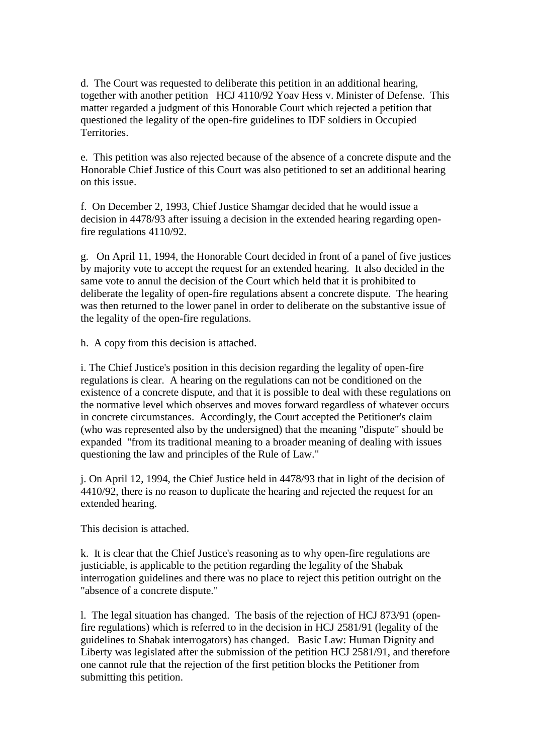d. The Court was requested to deliberate this petition in an additional hearing, together with another petition HCJ 4110/92 Yoav Hess v. Minister of Defense. This matter regarded a judgment of this Honorable Court which rejected a petition that questioned the legality of the open-fire guidelines to IDF soldiers in Occupied Territories.

e. This petition was also rejected because of the absence of a concrete dispute and the Honorable Chief Justice of this Court was also petitioned to set an additional hearing on this issue.

f. On December 2, 1993, Chief Justice Shamgar decided that he would issue a decision in 4478/93 after issuing a decision in the extended hearing regarding openfire regulations 4110/92.

g. On April 11, 1994, the Honorable Court decided in front of a panel of five justices by majority vote to accept the request for an extended hearing. It also decided in the same vote to annul the decision of the Court which held that it is prohibited to deliberate the legality of open-fire regulations absent a concrete dispute. The hearing was then returned to the lower panel in order to deliberate on the substantive issue of the legality of the open-fire regulations.

h. A copy from this decision is attached.

i. The Chief Justice's position in this decision regarding the legality of open-fire regulations is clear. A hearing on the regulations can not be conditioned on the existence of a concrete dispute, and that it is possible to deal with these regulations on the normative level which observes and moves forward regardless of whatever occurs in concrete circumstances. Accordingly, the Court accepted the Petitioner's claim (who was represented also by the undersigned) that the meaning "dispute" should be expanded "from its traditional meaning to a broader meaning of dealing with issues questioning the law and principles of the Rule of Law."

j. On April 12, 1994, the Chief Justice held in 4478/93 that in light of the decision of 4410/92, there is no reason to duplicate the hearing and rejected the request for an extended hearing.

This decision is attached.

k. It is clear that the Chief Justice's reasoning as to why open-fire regulations are justiciable, is applicable to the petition regarding the legality of the Shabak interrogation guidelines and there was no place to reject this petition outright on the "absence of a concrete dispute."

l. The legal situation has changed. The basis of the rejection of HCJ 873/91 (openfire regulations) which is referred to in the decision in HCJ 2581/91 (legality of the guidelines to Shabak interrogators) has changed. Basic Law: Human Dignity and Liberty was legislated after the submission of the petition HCJ 2581/91, and therefore one cannot rule that the rejection of the first petition blocks the Petitioner from submitting this petition.